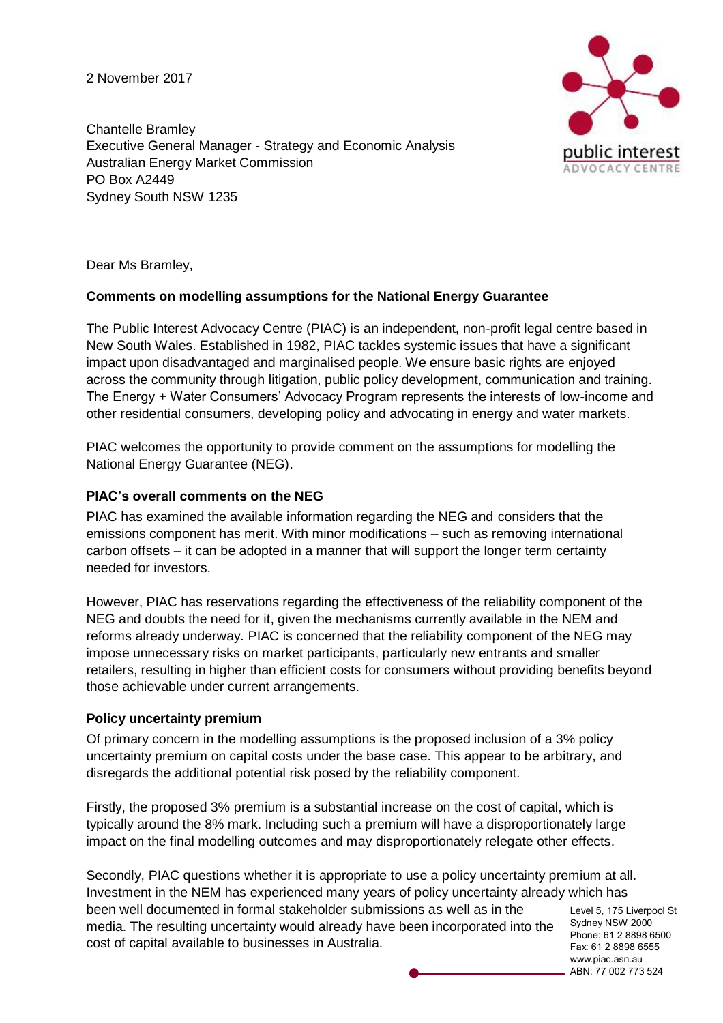2 November 2017

Chantelle Bramley Executive General Manager - Strategy and Economic Analysis Australian Energy Market Commission PO Box A2449 Sydney South NSW 1235



Dear Ms Bramley,

#### **Comments on modelling assumptions for the National Energy Guarantee**

The Public Interest Advocacy Centre (PIAC) is an independent, non-profit legal centre based in New South Wales. Established in 1982, PIAC tackles systemic issues that have a significant impact upon disadvantaged and marginalised people. We ensure basic rights are enjoyed across the community through litigation, public policy development, communication and training. The Energy + Water Consumers' Advocacy Program represents the interests of low-income and other residential consumers, developing policy and advocating in energy and water markets.

PIAC welcomes the opportunity to provide comment on the assumptions for modelling the National Energy Guarantee (NEG).

#### **PIAC's overall comments on the NEG**

PIAC has examined the available information regarding the NEG and considers that the emissions component has merit. With minor modifications – such as removing international carbon offsets – it can be adopted in a manner that will support the longer term certainty needed for investors.

However, PIAC has reservations regarding the effectiveness of the reliability component of the NEG and doubts the need for it, given the mechanisms currently available in the NEM and reforms already underway. PIAC is concerned that the reliability component of the NEG may impose unnecessary risks on market participants, particularly new entrants and smaller retailers, resulting in higher than efficient costs for consumers without providing benefits beyond those achievable under current arrangements.

#### **Policy uncertainty premium**

Of primary concern in the modelling assumptions is the proposed inclusion of a 3% policy uncertainty premium on capital costs under the base case. This appear to be arbitrary, and disregards the additional potential risk posed by the reliability component.

Firstly, the proposed 3% premium is a substantial increase on the cost of capital, which is typically around the 8% mark. Including such a premium will have a disproportionately large impact on the final modelling outcomes and may disproportionately relegate other effects.

Secondly, PIAC questions whether it is appropriate to use a policy uncertainty premium at all. Investment in the NEM has experienced many years of policy uncertainty already which has been well documented in formal stakeholder submissions as well as in the media. The resulting uncertainty would already have been incorporated into the cost of capital available to businesses in Australia.

Level 5, 175 Liverpool St Sydney NSW 2000 Phone: 61 2 8898 6500 Fax: 61 2 8898 6555 www.piac.asn.au ABN: 77 002 773 524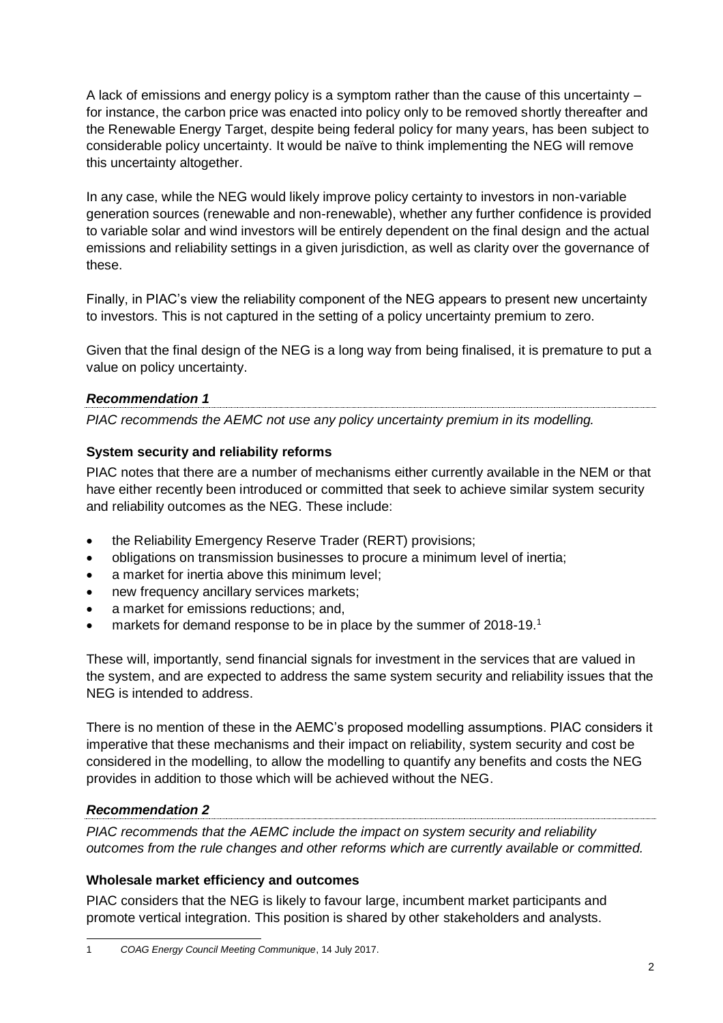A lack of emissions and energy policy is a symptom rather than the cause of this uncertainty – for instance, the carbon price was enacted into policy only to be removed shortly thereafter and the Renewable Energy Target, despite being federal policy for many years, has been subject to considerable policy uncertainty. It would be naïve to think implementing the NEG will remove this uncertainty altogether.

In any case, while the NEG would likely improve policy certainty to investors in non-variable generation sources (renewable and non-renewable), whether any further confidence is provided to variable solar and wind investors will be entirely dependent on the final design and the actual emissions and reliability settings in a given jurisdiction, as well as clarity over the governance of these.

Finally, in PIAC's view the reliability component of the NEG appears to present new uncertainty to investors. This is not captured in the setting of a policy uncertainty premium to zero.

Given that the final design of the NEG is a long way from being finalised, it is premature to put a value on policy uncertainty.

### *Recommendation 1*

*PIAC recommends the AEMC not use any policy uncertainty premium in its modelling.*

### **System security and reliability reforms**

PIAC notes that there are a number of mechanisms either currently available in the NEM or that have either recently been introduced or committed that seek to achieve similar system security and reliability outcomes as the NEG. These include:

- the Reliability Emergency Reserve Trader (RERT) provisions;
- obligations on transmission businesses to procure a minimum level of inertia;
- a market for inertia above this minimum level;
- new frequency ancillary services markets;
- a market for emissions reductions; and,
- markets for demand response to be in place by the summer of 2018-19.<sup>1</sup>

These will, importantly, send financial signals for investment in the services that are valued in the system, and are expected to address the same system security and reliability issues that the NEG is intended to address.

There is no mention of these in the AEMC's proposed modelling assumptions. PIAC considers it imperative that these mechanisms and their impact on reliability, system security and cost be considered in the modelling, to allow the modelling to quantify any benefits and costs the NEG provides in addition to those which will be achieved without the NEG.

# *Recommendation 2*

*PIAC recommends that the AEMC include the impact on system security and reliability outcomes from the rule changes and other reforms which are currently available or committed.*

### **Wholesale market efficiency and outcomes**

PIAC considers that the NEG is likely to favour large, incumbent market participants and promote vertical integration. This position is shared by other stakeholders and analysts.

 1 *COAG Energy Council Meeting Communique*, 14 July 2017.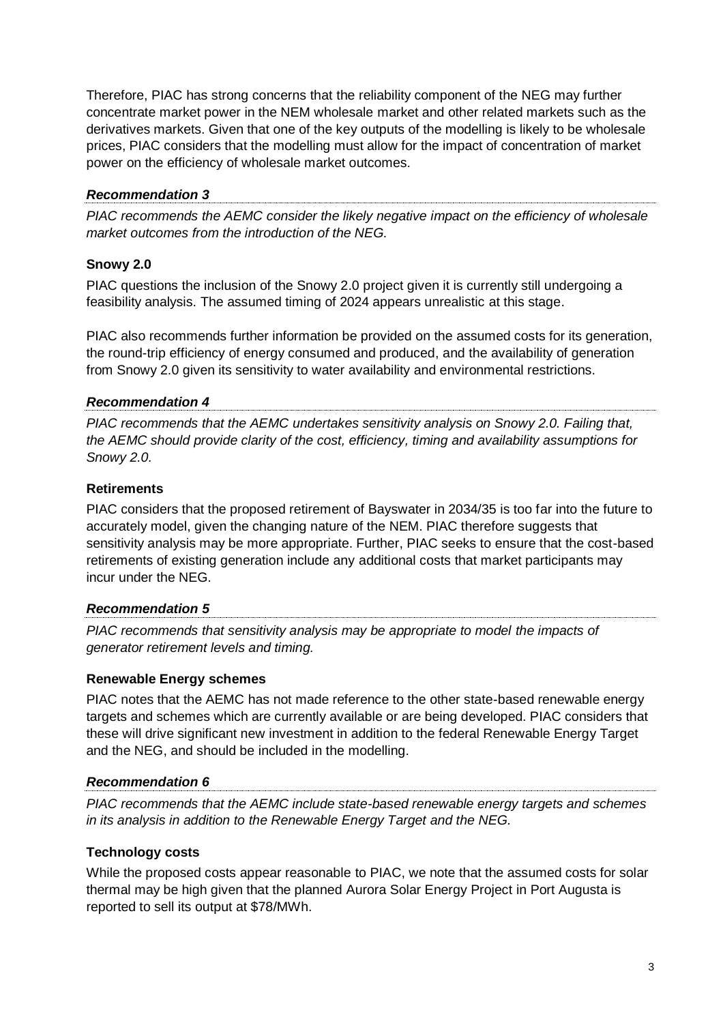Therefore, PIAC has strong concerns that the reliability component of the NEG may further concentrate market power in the NEM wholesale market and other related markets such as the derivatives markets. Given that one of the key outputs of the modelling is likely to be wholesale prices, PIAC considers that the modelling must allow for the impact of concentration of market power on the efficiency of wholesale market outcomes.

### *Recommendation 3*

*PIAC recommends the AEMC consider the likely negative impact on the efficiency of wholesale market outcomes from the introduction of the NEG.*

### **Snowy 2.0**

PIAC questions the inclusion of the Snowy 2.0 project given it is currently still undergoing a feasibility analysis. The assumed timing of 2024 appears unrealistic at this stage.

PIAC also recommends further information be provided on the assumed costs for its generation, the round-trip efficiency of energy consumed and produced, and the availability of generation from Snowy 2.0 given its sensitivity to water availability and environmental restrictions.

### *Recommendation 4*

*PIAC recommends that the AEMC undertakes sensitivity analysis on Snowy 2.0. Failing that, the AEMC should provide clarity of the cost, efficiency, timing and availability assumptions for Snowy 2.0.*

### **Retirements**

PIAC considers that the proposed retirement of Bayswater in 2034/35 is too far into the future to accurately model, given the changing nature of the NEM. PIAC therefore suggests that sensitivity analysis may be more appropriate. Further, PIAC seeks to ensure that the cost-based retirements of existing generation include any additional costs that market participants may incur under the NEG.

### *Recommendation 5*

*PIAC recommends that sensitivity analysis may be appropriate to model the impacts of generator retirement levels and timing.*

### **Renewable Energy schemes**

PIAC notes that the AEMC has not made reference to the other state-based renewable energy targets and schemes which are currently available or are being developed. PIAC considers that these will drive significant new investment in addition to the federal Renewable Energy Target and the NEG, and should be included in the modelling.

### *Recommendation 6*

*PIAC recommends that the AEMC include state-based renewable energy targets and schemes in its analysis in addition to the Renewable Energy Target and the NEG.*

### **Technology costs**

While the proposed costs appear reasonable to PIAC, we note that the assumed costs for solar thermal may be high given that the planned Aurora Solar Energy Project in Port Augusta is reported to sell its output at \$78/MWh.